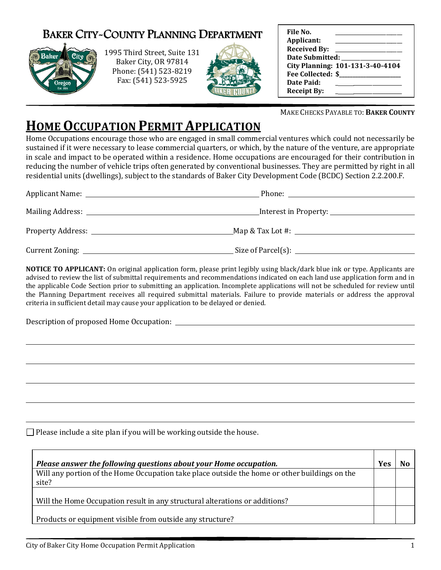## BAKER CITY-COUNTY PLANNING DEPARTMENT





| File No.                 |                                  |
|--------------------------|----------------------------------|
| Applicant:               |                                  |
| <b>Received By:</b>      |                                  |
| <b>Date Submitted:</b>   |                                  |
|                          | City Planning: 101-131-3-40-4104 |
| <b>Fee Collected: \$</b> |                                  |
| Date Paid:               |                                  |
| <b>Receipt By:</b>       |                                  |

## **HOME OCCUPATION PERMIT APPLICATION**

| Size of Parcel(s): |  |
|--------------------|--|

 $\overline{a}$ 

 $\overline{a}$ 

 $\overline{a}$ 

 $\overline{a}$ 

 $\overline{a}$ 

| <b>BAKER CITY-COUNTY PLANNING DEPARTMENT</b><br>1995 Third Street, Suite 131<br>Baker City<br>Baker City, OR 97814<br>Phone: (541) 523-8219<br>Fax: (541) 523-5925<br>Oregon                                                                                                                                                                                                                                                                                                                                                                                                                                                                    | File No.<br>Applicant:<br>Date Submitted: National Property of the Submitted:<br>City Planning: 101-131-3-40-4104<br>Date Paid:<br><u> 1990 - Jan Alexandri, politik eta politik eta politik eta politik eta politik eta politik eta politik eta po</u><br>Receipt By: |
|-------------------------------------------------------------------------------------------------------------------------------------------------------------------------------------------------------------------------------------------------------------------------------------------------------------------------------------------------------------------------------------------------------------------------------------------------------------------------------------------------------------------------------------------------------------------------------------------------------------------------------------------------|------------------------------------------------------------------------------------------------------------------------------------------------------------------------------------------------------------------------------------------------------------------------|
|                                                                                                                                                                                                                                                                                                                                                                                                                                                                                                                                                                                                                                                 | MAKE CHECKS PAYABLE TO: BAKER COUNTY                                                                                                                                                                                                                                   |
| <u>Home Occupation Permit Application</u><br>Home Occupations encourage those who are engaged in small commercial ventures which could not necessarily be<br>sustained if it were necessary to lease commercial quarters, or which, by the nature of the venture, are appropriate<br>n scale and impact to be operated within a residence. Home occupations are encouraged for their contribution in<br>reducing the number of vehicle trips often generated by conventional businesses. They are permitted by right in all<br>residential units (dwellings), subject to the standards of Baker City Development Code (BCDC) Section 2.2.200.F. |                                                                                                                                                                                                                                                                        |
|                                                                                                                                                                                                                                                                                                                                                                                                                                                                                                                                                                                                                                                 |                                                                                                                                                                                                                                                                        |
|                                                                                                                                                                                                                                                                                                                                                                                                                                                                                                                                                                                                                                                 |                                                                                                                                                                                                                                                                        |
|                                                                                                                                                                                                                                                                                                                                                                                                                                                                                                                                                                                                                                                 |                                                                                                                                                                                                                                                                        |
|                                                                                                                                                                                                                                                                                                                                                                                                                                                                                                                                                                                                                                                 |                                                                                                                                                                                                                                                                        |
| advised to review the list of submittal requirements and recommendations indicated on each land use application form and in<br>the applicable Code Section prior to submitting an application. Incomplete applications will not be scheduled for review until<br>the Planning Department receives all required submittal materials. Failure to provide materials or address the approval<br>criteria in sufficient detail may cause your application to be delayed or denied.                                                                                                                                                                   |                                                                                                                                                                                                                                                                        |
|                                                                                                                                                                                                                                                                                                                                                                                                                                                                                                                                                                                                                                                 |                                                                                                                                                                                                                                                                        |
| Please include a site plan if you will be working outside the house.                                                                                                                                                                                                                                                                                                                                                                                                                                                                                                                                                                            |                                                                                                                                                                                                                                                                        |
| Please answer the following questions about your Home occupation.                                                                                                                                                                                                                                                                                                                                                                                                                                                                                                                                                                               | Yes<br><b>No</b>                                                                                                                                                                                                                                                       |
| Will any portion of the Home Occupation take place outside the home or other buildings on the<br>site?                                                                                                                                                                                                                                                                                                                                                                                                                                                                                                                                          |                                                                                                                                                                                                                                                                        |
| Will the Home Occupation result in any structural alterations or additions?                                                                                                                                                                                                                                                                                                                                                                                                                                                                                                                                                                     |                                                                                                                                                                                                                                                                        |
| Products or equipment visible from outside any structure?                                                                                                                                                                                                                                                                                                                                                                                                                                                                                                                                                                                       |                                                                                                                                                                                                                                                                        |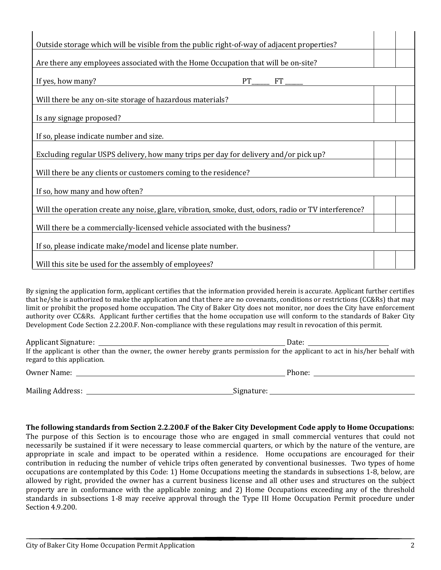| Are there any employees associated with the Home Occupation that will be on-site?<br>If yes, how many?<br>$PT$ <sub>______</sub> $FT$ ______<br>Will there be any on-site storage of hazardous materials?<br>Is any signage proposed?<br>If so, please indicate number and size.<br>Excluding regular USPS delivery, how many trips per day for delivery and/or pick up?<br>Will there be any clients or customers coming to the residence?<br>If so, how many and how often?<br>Will the operation create any noise, glare, vibration, smoke, dust, odors, radio or TV interference? | Outside storage which will be visible from the public right-of-way of adjacent properties? |  |  |
|---------------------------------------------------------------------------------------------------------------------------------------------------------------------------------------------------------------------------------------------------------------------------------------------------------------------------------------------------------------------------------------------------------------------------------------------------------------------------------------------------------------------------------------------------------------------------------------|--------------------------------------------------------------------------------------------|--|--|
|                                                                                                                                                                                                                                                                                                                                                                                                                                                                                                                                                                                       |                                                                                            |  |  |
|                                                                                                                                                                                                                                                                                                                                                                                                                                                                                                                                                                                       |                                                                                            |  |  |
|                                                                                                                                                                                                                                                                                                                                                                                                                                                                                                                                                                                       |                                                                                            |  |  |
|                                                                                                                                                                                                                                                                                                                                                                                                                                                                                                                                                                                       |                                                                                            |  |  |
|                                                                                                                                                                                                                                                                                                                                                                                                                                                                                                                                                                                       |                                                                                            |  |  |
|                                                                                                                                                                                                                                                                                                                                                                                                                                                                                                                                                                                       |                                                                                            |  |  |
|                                                                                                                                                                                                                                                                                                                                                                                                                                                                                                                                                                                       |                                                                                            |  |  |
|                                                                                                                                                                                                                                                                                                                                                                                                                                                                                                                                                                                       |                                                                                            |  |  |
|                                                                                                                                                                                                                                                                                                                                                                                                                                                                                                                                                                                       |                                                                                            |  |  |
|                                                                                                                                                                                                                                                                                                                                                                                                                                                                                                                                                                                       | Will there be a commercially-licensed vehicle associated with the business?                |  |  |
| If so, please indicate make/model and license plate number.                                                                                                                                                                                                                                                                                                                                                                                                                                                                                                                           |                                                                                            |  |  |
| Will this site be used for the assembly of employees?                                                                                                                                                                                                                                                                                                                                                                                                                                                                                                                                 |                                                                                            |  |  |

By signing the application form, applicant certifies that the information provided herein is accurate. Applicant further certifies that he/she is authorized to make the application and that there are no covenants, conditions or restrictions (CC&Rs) that may limit or prohibit the proposed home occupation. The City of Baker City does not monitor, nor does the City have enforcement authority over CC&Rs. Applicant further certifies that the home occupation use will conform to the standards of Baker City Development Code Section 2.2.200.F. Non-compliance with these regulations may result in revocation of this permit.

| Applicant Signature:<br>regard to this application. | Date:<br>If the applicant is other than the owner, the owner hereby grants permission for the applicant to act in his/her behalf with |
|-----------------------------------------------------|---------------------------------------------------------------------------------------------------------------------------------------|
| Owner Name:                                         | Phone:                                                                                                                                |

Mailing Address: Signature:

The following standards from Section 2.2.200.F of the Baker City Development Code apply to Home Occupations: The purpose of this Section is to encourage those who are engaged in small commercial ventures that could not necessarily be sustained if it were necessary to lease commercial quarters, or which by the nature of the venture, are appropriate in scale and impact to be operated within a residence. Home occupations are encouraged for their contribution in reducing the number of vehicle trips often generated by conventional businesses. Two types of home occupations are contemplated by this Code: 1) Home Occupations meeting the standards in subsections 1-8, below, are allowed by right, provided the owner has a current business license and all other uses and structures on the subject property are in conformance with the applicable zoning; and 2) Home Occupations exceeding any of the threshold standards in subsections 1-8 may receive approval through the Type III Home Occupation Permit procedure under Section 4.9.200.